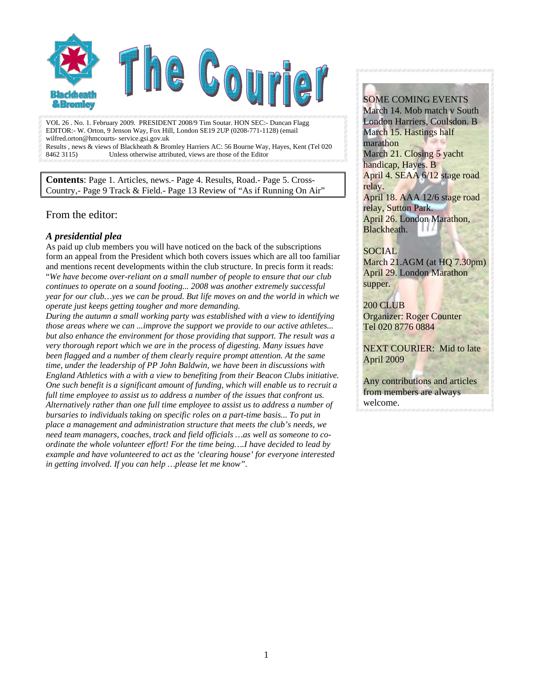

VOL 26 . No. 1. February 2009. PRESIDENT 2008/9 Tim Soutar. HON SEC:- Duncan Flagg EDITOR:- W. Orton, 9 Jenson Way, Fox Hill, London SE19 2UP (0208-771-1128) (email wilfred.orton@hmcourts- service.gsi.gov.uk Results , news & views of Blackheath & Bromley Harriers AC: 56 Bourne Way, Hayes, Kent (Tel 020 8462 3115) Unless otherwise attributed, views are those of the Editor

**Contents**: Page 1. Articles, news.- Page 4. Results, Road.- Page 5. Cross-Country,- Page 9 Track & Field.- Page 13 Review of "As if Running On Air"

# From the editor:

#### *A presidential plea*

As paid up club members you will have noticed on the back of the subscriptions form an appeal from the President which both covers issues which are all too familiar and mentions recent developments within the club structure. In precis form it reads: "*We have become over-reliant on a small number of people to ensure that our club continues to operate on a sound footing... 2008 was another extremely successful year for our club…yes we can be proud. But life moves on and the world in which we operate just keeps getting tougher and more demanding.* 

*During the autumn a small working party was established with a view to identifying those areas where we can ...improve the support we provide to our active athletes... but also enhance the environment for those providing that support. The result was a very thorough report which we are in the process of digesting. Many issues have been flagged and a number of them clearly require prompt attention. At the same time, under the leadership of PP John Baldwin, we have been in discussions with England Athletics with a with a view to benefiting from their Beacon Clubs initiative. One such benefit is a significant amount of funding, which will enable us to recruit a full time employee to assist us to address a number of the issues that confront us. Alternatively rather than one full time employee to assist us to address a number of bursaries to individuals taking on specific roles on a part-time basis... To put in place a management and administration structure that meets the club's needs, we need team managers, coaches, track and field officials …as well as someone to coordinate the whole volunteer effort! For the time being….I have decided to lead by example and have volunteered to act as the 'clearing house' for everyone interested in getting involved. If you can help …please let me know"*.

#### SOME COMING EVENTS

March 14. Mob match v South London Harriers, Coulsdon. B March 15. Hastings half marathon March 21. Closing 5 yacht handicap, Hayes. B April 4. SEAA 6/12 stage road relay. April 18. AAA 12/6 stage road relay, Sutton Park. April 26. London Marathon, Blackheath.

#### SOCIAL

March 21.AGM (at HO 7.30pm) April 29. London Marathon supper.

200 CLUB Organizer: Roger Counter Tel 020 8776 0884

NEXT COURIER: Mid to late April 2009

Any contributions and articles from members are always welcome.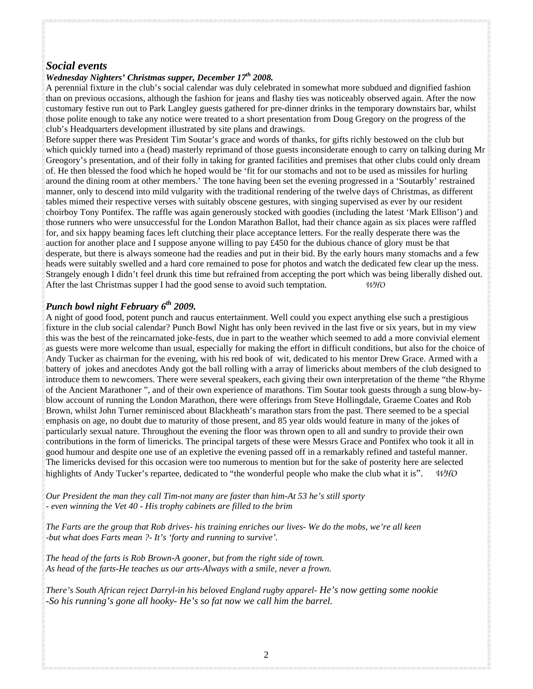# *Social events*

#### *Wednesday Nighters' Christmas supper, December 17th 2008.*

A perennial fixture in the club's social calendar was duly celebrated in somewhat more subdued and dignified fashion than on previous occasions, although the fashion for jeans and flashy ties was noticeably observed again. After the now customary festive run out to Park Langley guests gathered for pre-dinner drinks in the temporary downstairs bar, whilst those polite enough to take any notice were treated to a short presentation from Doug Gregory on the progress of the club's Headquarters development illustrated by site plans and drawings.

Before supper there was President Tim Soutar's grace and words of thanks, for gifts richly bestowed on the club but which quickly turned into a (head) masterly reprimand of those guests inconsiderate enough to carry on talking during Mr Greogory's presentation, and of their folly in taking for granted facilities and premises that other clubs could only dream of. He then blessed the food which he hoped would be 'fit for our stomachs and not to be used as missiles for hurling around the dining room at other members.' The tone having been set the evening progressed in a 'Soutarbly' restrained manner, only to descend into mild vulgarity with the traditional rendering of the twelve days of Christmas, as different tables mimed their respective verses with suitably obscene gestures, with singing supervised as ever by our resident choirboy Tony Pontifex. The raffle was again generously stocked with goodies (including the latest 'Mark Ellison') and those runners who were unsuccessful for the London Marathon Ballot, had their chance again as six places were raffled for, and six happy beaming faces left clutching their place acceptance letters. For the really desperate there was the auction for another place and I suppose anyone willing to pay £450 for the dubious chance of glory must be that desperate, but there is always someone had the readies and put in their bid. By the early hours many stomachs and a few heads were suitably swelled and a hard core remained to pose for photos and watch the dedicated few clear up the mess. Strangely enough I didn't feel drunk this time but refrained from accepting the port which was being liberally dished out. After the last Christmas supper I had the good sense to avoid such temptation. *WHO* 

#### *Punch bowl night February 6th 2009.*

A night of good food, potent punch and raucus entertainment. Well could you expect anything else such a prestigious fixture in the club social calendar? Punch Bowl Night has only been revived in the last five or six years, but in my view this was the best of the reincarnated joke-fests, due in part to the weather which seemed to add a more convivial element as guests were more welcome than usual, especially for making the effort in difficult conditions, but also for the choice of Andy Tucker as chairman for the evening, with his red book of wit, dedicated to his mentor Drew Grace. Armed with a battery of jokes and anecdotes Andy got the ball rolling with a array of limericks about members of the club designed to introduce them to newcomers. There were several speakers, each giving their own interpretation of the theme "the Rhyme of the Ancient Marathoner ", and of their own experience of marathons. Tim Soutar took guests through a sung blow-byblow account of running the London Marathon, there were offerings from Steve Hollingdale, Graeme Coates and Rob Brown, whilst John Turner reminisced about Blackheath's marathon stars from the past. There seemed to be a special emphasis on age, no doubt due to maturity of those present, and 85 year olds would feature in many of the jokes of particularly sexual nature. Throughout the evening the floor was thrown open to all and sundry to provide their own contributions in the form of limericks. The principal targets of these were Messrs Grace and Pontifex who took it all in good humour and despite one use of an expletive the evening passed off in a remarkably refined and tasteful manner. The limericks devised for this occasion were too numerous to mention but for the sake of posterity here are selected highlights of Andy Tucker's repartee, dedicated to "the wonderful people who make the club what it is". *WHO*

*Our President the man they call Tim-not many are faster than him-At 53 he's still sporty - even winning the Vet 40 - His trophy cabinets are filled to the brim* 

*The Farts are the group that Rob drives- his training enriches our lives- We do the mobs, we're all keen -but what does Farts mean ?- It's 'forty and running to survive'.* 

*The head of the farts is Rob Brown-A gooner, but from the right side of town. As head of the farts-He teaches us our arts-Always with a smile, never a frown.* 

*There's South African reject Darryl-in his beloved England rugby apparel- He's now getting some nookie -So his running's gone all hooky- He's so fat now we call him the barrel.*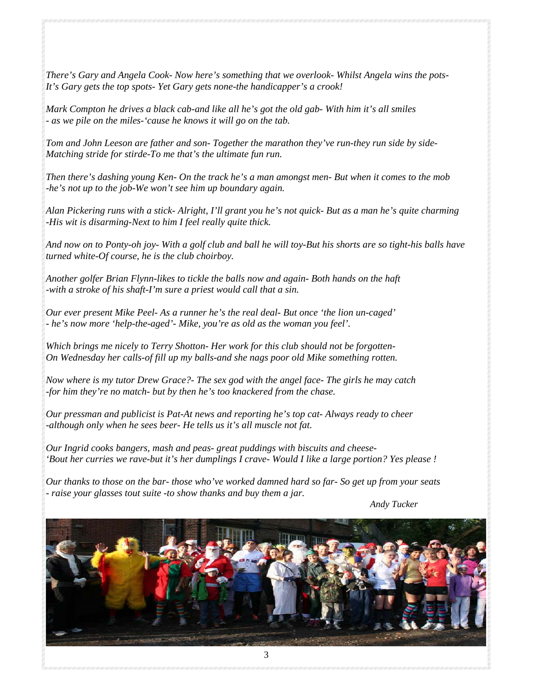*There's Gary and Angela Cook- Now here's something that we overlook- Whilst Angela wins the pots-It's Gary gets the top spots- Yet Gary gets none-the handicapper's a crook!* 

*Mark Compton he drives a black cab-and like all he's got the old gab- With him it's all smiles - as we pile on the miles-'cause he knows it will go on the tab.* 

*Tom and John Leeson are father and son- Together the marathon they've run-they run side by side-Matching stride for stirde-To me that's the ultimate fun run.* 

*Then there's dashing young Ken- On the track he's a man amongst men- But when it comes to the mob -he's not up to the job-We won't see him up boundary again.* 

*Alan Pickering runs with a stick- Alright, I'll grant you he's not quick- But as a man he's quite charming -His wit is disarming-Next to him I feel really quite thick.* 

*And now on to Ponty-oh joy- With a golf club and ball he will toy-But his shorts are so tight-his balls have turned white-Of course, he is the club choirboy.* 

*Another golfer Brian Flynn-likes to tickle the balls now and again- Both hands on the haft -with a stroke of his shaft-I'm sure a priest would call that a sin.* 

*Our ever present Mike Peel- As a runner he's the real deal- But once 'the lion un-caged' - he's now more 'help-the-aged'- Mike, you're as old as the woman you feel'.* 

*Which brings me nicely to Terry Shotton- Her work for this club should not be forgotten-On Wednesday her calls-of fill up my balls-and she nags poor old Mike something rotten.* 

*Now where is my tutor Drew Grace?- The sex god with the angel face- The girls he may catch -for him they're no match- but by then he's too knackered from the chase.* 

*Our pressman and publicist is Pat-At news and reporting he's top cat- Always ready to cheer -although only when he sees beer- He tells us it's all muscle not fat.* 

*Our Ingrid cooks bangers, mash and peas- great puddings with biscuits and cheese- 'Bout her curries we rave-but it's her dumplings I crave- Would I like a large portion? Yes please !* 

*Our thanks to those on the bar- those who've worked damned hard so far- So get up from your seats - raise your glasses tout suite -to show thanks and buy them a jar.* 

 *Andy Tucker* 

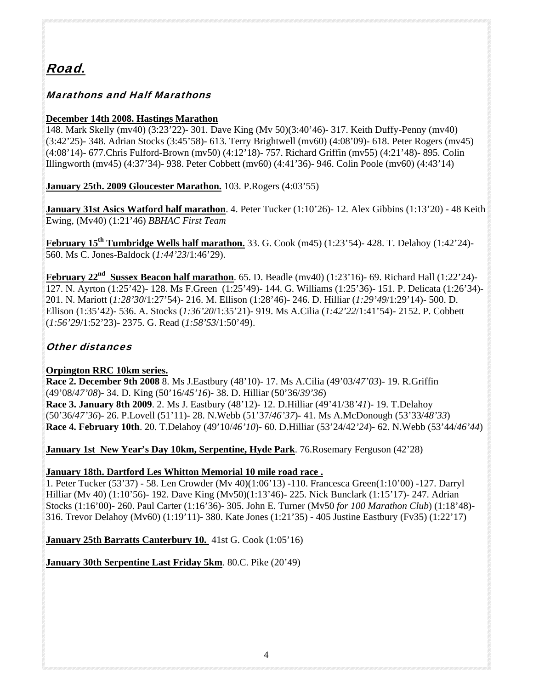# Road.

# Marathons and Half Marathons

# **December 14th 2008. Hastings Marathon**

148. Mark Skelly (mv40) (3:23'22)- 301. Dave King (Mv 50)(3:40'46)- 317. Keith Duffy-Penny (mv40) (3:42'25)- 348. Adrian Stocks (3:45'58)- 613. Terry Brightwell (mv60) (4:08'09)- 618. Peter Rogers (mv45) (4:08'14)- 677.Chris Fulford-Brown (mv50) (4:12'18)- 757. Richard Griffin (mv55) (4:21'48)- 895. Colin Illingworth (mv45) (4:37'34)- 938. Peter Cobbett (mv60) (4:41'36)- 946. Colin Poole (mv60) (4:43'14)

**January 25th. 2009 Gloucester Marathon.** 103. P.Rogers (4:03'55)

**January 31st Asics Watford half marathon**. 4. Peter Tucker (1:10'26)- 12. Alex Gibbins (1:13'20) - 48 Keith Ewing, (Mv40) (1:21'46) *BBHAC First Team*

**February 15th Tumbridge Wells half marathon.** 33. G. Cook (m45) (1:23'54)- 428. T. Delahoy (1:42'24)- 560. Ms C. Jones-Baldock (*1:44'23*/1:46'29).

**February 22<sup>nd</sup> Sussex Beacon half marathon**. 65. D. Beadle (mv40) (1:23'16)- 69. Richard Hall (1:22'24)-127. N. Ayrton (1:25'42)- 128. Ms F.Green (1:25'49)- 144. G. Williams (1:25'36)- 151. P. Delicata (1:26'34)- 201. N. Mariott (*1:28'30*/1:27'54)- 216. M. Ellison (1:28'46)- 246. D. Hilliar (*1:29'49*/1:29'14)- 500. D. Ellison (1:35'42)- 536. A. Stocks (*1:36'20*/1:35'21)- 919. Ms A.Cilia (*1:42'22*/1:41'54)- 2152. P. Cobbett (*1:56'29*/1:52'23)- 2375. G. Read (*1:58'53*/1:50'49).

# Other distances

# **Orpington RRC 10km series.**

**Race 2. December 9th 2008** 8. Ms J.Eastbury (48'10)- 17. Ms A.Cilia (49'03/*47'03*)- 19. R.Griffin (49'08/*47'08*)- 34. D. King (50'16/*45'16*)- 38. D. Hilliar (50'36/*39'36*) **Race 3. January 8th 2009**. 2. Ms J. Eastbury (48'12)- 12. D.Hilliar (49'41/38*'41*)- 19. T.Delahoy (50'36/*47'36*)- 26. P.Lovell (51'11)- 28. N.Webb (51'37/*46'37*)- 41. Ms A.McDonough (53'33/*48'33*) **Race 4. February 10th**. 20. T.Delahoy (49'10/*46'10*)- 60. D.Hilliar (53'24/42*'24*)- 62. N.Webb (53'44/*46'44*)

**January 1st New Year's Day 10km, Serpentine, Hyde Park**. 76.Rosemary Ferguson (42'28)

**January 18th. Dartford Les Whitton Memorial 10 mile road race .**

1. Peter Tucker (53'37) - 58. Len Crowder (Mv 40)(1:06'13) -110. Francesca Green(1:10'00) -127. Darryl Hilliar (Mv 40) (1:10'56)- 192. Dave King (Mv50)(1:13'46)- 225. Nick Bunclark (1:15'17)- 247. Adrian Stocks (1:16'00)- 260. Paul Carter (1:16'36)- 305. John E. Turner (Mv50 *for 100 Marathon Club*) (1:18'48)- 316. Trevor Delahoy (Mv60) (1:19'11)- 380. Kate Jones (1:21'35) - 405 Justine Eastbury (Fv35) (1:22'17)

**January 25th Barratts Canterbury 10.** 41st G. Cook (1:05'16)

**January 30th Serpentine Last Friday 5km**. 80.C. Pike (20'49)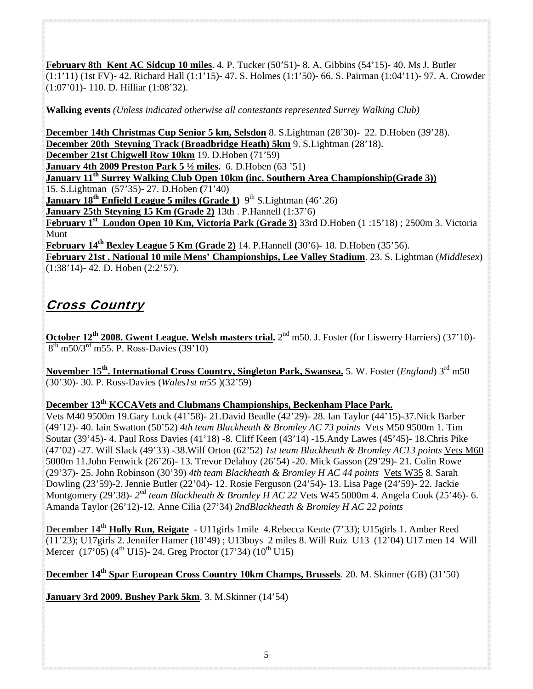**February 8th Kent AC Sidcup 10 miles**. 4. P. Tucker (50'51)- 8. A. Gibbins (54'15)- 40. Ms J. Butler (1:1'11) (1st FV)- 42. Richard Hall (1:1'15)- 47. S. Holmes (1:1'50)- 66. S. Pairman (1:04'11)- 97. A. Crowder (1:07'01)- 110. D. Hilliar (1:08'32).

**Walking events** *(Unless indicated otherwise all contestants represented Surrey Walking Club)*

**December 14th Christmas Cup Senior 5 km, Selsdon** 8. S.Lightman (28'30)- 22. D.Hoben (39'28). **December 20th Steyning Track (Broadbridge Heath) 5km** 9. S.Lightman (28'18). **December 21st Chigwell Row 10km** 19. D.Hoben (71'59) **January 4th 2009 Preston Park 5 ½ miles.** 6. D.Hoben (63 '51) **January 11th Surrey Walking Club Open 10km (inc. Southern Area Championship(Grade 3))** 15. S.Lightman (57'35)- 27. D.Hoben **(**71'40) **January 18<sup>th</sup> Enfield League 5 miles (Grade 1)** 9<sup>th</sup> S. Lightman (46'.26) **January 25th Steyning 15 Km (Grade 2)** 13th . P.Hannell (1:37'6) **February 1st London Open 10 Km, Victoria Park (Grade 3)** 33rd D.Hoben (1 :15'18) ; 2500m 3. Victoria Munt **February 14th Bexley League 5 Km (Grade 2)** 14. P.Hannell **(**30'6)- 18. D.Hoben (35'56). **February 21st . National 10 mile Mens' Championships, Lee Valley Stadium**. 23. S. Lightman (*Middlesex*)

(1:38'14)- 42. D. Hoben (2:2'57).

# Cross Country

**October 12th 2008. Gwent League. Welsh masters trial.** 2nd m50. J. Foster (for Liswerry Harriers) (37'10)-  $8^{th}$  m50/3<sup>rd</sup> m55. P. Ross-Davies (39'10)

**November 15th. International Cross Country, Singleton Park, Swansea.** 5. W. Foster (*England*) 3rd m50 (30'30)- 30. P. Ross-Davies (*Wales1st m55* )(32'59)

# **December 13th KCCAVets and Clubmans Championships, Beckenham Place Park.**

Vets M40 9500m 19.Gary Lock (41'58)- 21.David Beadle (42'29)- 28. Ian Taylor (44'15)-37.Nick Barber (49'12)- 40. Iain Swatton (50'52) *4th team Blackheath & Bromley AC 73 points* Vets M50 9500m 1. Tim Soutar (39'45)- 4. Paul Ross Davies (41'18) -8. Cliff Keen (43'14) -15.Andy Lawes (45'45)- 18.Chris Pike (47'02) -27. Will Slack (49'33) -38.Wilf Orton (62'52) *1st team Blackheath & Bromley AC13 points* Vets M60 5000m 11.John Fenwick (26'26)- 13. Trevor Delahoy (26'54) -20. Mick Gasson (29'29)- 21. Colin Rowe (29'37)- 25. John Robinson (30'39) *4th team Blackheath & Bromley H AC 44 points* Vets W35 8. Sarah Dowling (23'59)-2. Jennie Butler (22'04)- 12. Rosie Ferguson (24'54)- 13. Lisa Page (24'59)- 22. Jackie Montgomery (29'38)- *2nd team Blackheath & Bromley H AC 22* Vets W45 5000m 4. Angela Cook (25'46)- 6. Amanda Taylor (26'12)-12. Anne Cilia (27'34) *2ndBlackheath & Bromley H AC 22 points* 

**December 14th Holly Run, Reigate** - U11girls 1mile 4.Rebecca Keute (7'33); U15girls 1. Amber Reed  $(11'23)$ ; U17girls 2. Jennifer Hamer  $(18'49)$ ; U13boys 2 miles 8. Will Ruiz U13  $(12'04)$  U17 men 14 Will Mercer  $(17'05)$  (4<sup>th</sup> U15)- 24. Greg Proctor  $(17'34)$   $(10^{th}$  U15)

**December 14th Spar European Cross Country 10km Champs, Brussels**. 20. M. Skinner (GB) (31'50)

**January 3rd 2009. Bushey Park 5km**. 3. M.Skinner (14'54)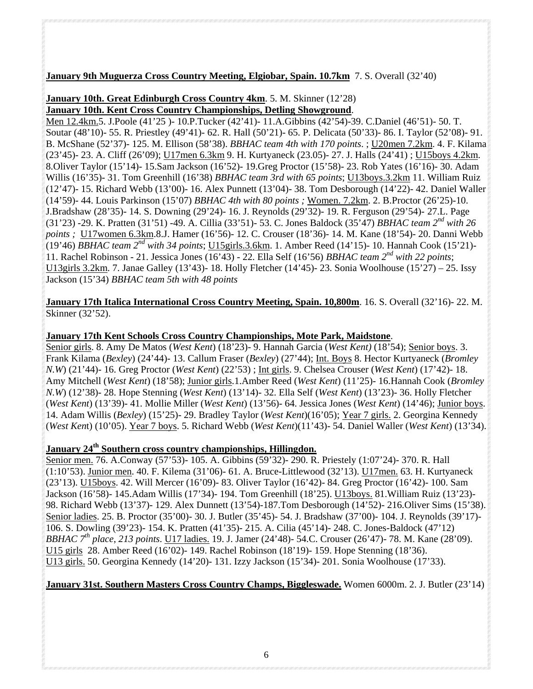# **January 9th Muguerza Cross Country Meeting, Elgiobar, Spain. 10.7km** 7. S. Overall (32'40)

#### **January 10th. Great Edinburgh Cross Country 4km**. 5. M. Skinner (12'28) **January 10th. Kent Cross Country Championships, Detling Showground**.

Men 12.4km.5. J.Poole (41'25 )- 10.P.Tucker (42'41)- 11.A.Gibbins (42'54)-39. C.Daniel (46'51)- 50. T. Soutar (48'10)- 55. R. Priestley (49'41)- 62. R. Hall (50'21)- 65. P. Delicata (50'33)- 86. I. Taylor (52'08)- 91. B. McShane (52'37)- 125. M. Ellison (58'38). *BBHAC team 4th with 170 points*. ; U20men 7.2km. 4. F. Kilama (23'45)- 23. A. Cliff (26'09); U17men 6.3km 9. H. Kurtyaneck (23.05)- 27. J. Halls (24'41) ; U15boys 4.2km. 8.Oliver Taylor (15'14)- 15.Sam Jackson (16'52)- 19.Greg Proctor (15'58)- 23. Rob Yates (16'16)- 30. Adam Willis (16'35)- 31. Tom Greenhill (16'38) *BBHAC team 3rd with 65 points*; U13boys.3.2km 11. William Ruiz (12'47)- 15. Richard Webb (13'00)- 16. Alex Punnett (13'04)- 38. Tom Desborough (14'22)- 42. Daniel Waller (14'59)- 44. Louis Parkinson (15'07) *BBHAC 4th with 80 points ;* Women. 7.2km. 2. B.Proctor (26'25)-10. J.Bradshaw (28'35)- 14. S. Downing (29'24)- 16. J. Reynolds (29'32)- 19. R. Ferguson (29'54)- 27.L. Page (31'23) -29. K. Pratten (31'51) -49. A. Cillia (33'51)- 53. C. Jones Baldock (35'47) *BBHAC team 2nd with 26 points ;* U17women 6.3km.8.J. Hamer (16'56)- 12. C. Crouser (18'36)- 14. M. Kane (18'54)- 20. Danni Webb (19'46) *BBHAC team 2nd with 34 points*; U15girls.3.6km. 1. Amber Reed (14'15)- 10. Hannah Cook (15'21)- 11. Rachel Robinson - 21. Jessica Jones (16'43) - 22. Ella Self (16'56) *BBHAC team 2nd with 22 points*; U13girls 3.2km. 7. Janae Galley (13'43)- 18. Holly Fletcher (14'45)- 23. Sonia Woolhouse (15'27) – 25. Issy Jackson (15'34) *BBHAC team 5th with 48 points*

**January 17th Italica International Cross Country Meeting, Spain. 10,800m**. 16. S. Overall (32'16)- 22. M. Skinner (32'52).

#### **January 17th Kent Schools Cross Country Championships, Mote Park, Maidstone**.

Senior girls. 8. Amy De Matos (*West Kent*) (18'23)- 9. Hannah Garcia (*West Kent)* (18'54); Senior boys. 3. Frank Kilama (*Bexley*) (24'44)- 13. Callum Fraser (*Bexley*) (27'44); Int. Boys 8. Hector Kurtyaneck (*Bromley N.W*) (21'44)- 16. Greg Proctor (*West Kent*) (22'53) ; Int girls. 9. Chelsea Crouser (*West Kent*) (17'42)- 18. Amy Mitchell (*West Kent*) (18'58); Junior girls.1.Amber Reed (*West Kent*) (11'25)- 16.Hannah Cook (*Bromley N.W*) (12'38)- 28. Hope Stenning (*West Kent*) (13'14)- 32. Ella Self (*West Kent*) (13'23)- 36. Holly Fletcher (*West Kent*) (13'39)- 41. Mollie Miller (*West Kent*) (13'56)- 64. Jessica Jones (*West Kent*) (14'46); Junior boys. 14. Adam Willis (*Bexley*) (15'25)- 29. Bradley Taylor (*West Kent*)(16'05); Year 7 girls. 2. Georgina Kennedy (*West Ken*t) (10'05). Year 7 boys. 5. Richard Webb (*West Kent*)(11'43)- 54. Daniel Waller (*West Kent*) (13'34).

# **January 24th Southern cross country championships, Hillingdon.**

Senior men. 76. A.Conway (57'53)- 105. A. Gibbins (59'32)- 290. R. Priestely (1:07'24)- 370. R. Hall (1:10'53). Junior men. 40. F. Kilema (31'06)- 61. A. Bruce-Littlewood (32'13). U17men. 63. H. Kurtyaneck (23'13). U15boys. 42. Will Mercer (16'09)- 83. Oliver Taylor (16'42)- 84. Greg Proctor (16'42)- 100. Sam Jackson (16'58)- 145.Adam Willis (17'34)- 194. Tom Greenhill (18'25). U13boys. 81.William Ruiz (13'23)- 98. Richard Webb (13'37)- 129. Alex Dunnett (13'54)-187.Tom Desborough (14'52)- 216.Oliver Sims (15'38). Senior ladies. 25. B. Proctor (35'00)- 30. J. Butler (35'45)- 54. J. Bradshaw (37'00)- 104. J. Reynolds (39'17)- 106. S. Dowling (39'23)- 154. K. Pratten (41'35)- 215. A. Cilia (45'14)- 248. C. Jones-Baldock (47'12) *BBHAC 7th place*, *213 points*. U17 ladies. 19. J. Jamer (24'48)- 54.C. Crouser (26'47)- 78. M. Kane (28'09). U15 girls 28. Amber Reed (16'02)- 149. Rachel Robinson (18'19)- 159. Hope Stenning (18'36). U13 girls. 50. Georgina Kennedy (14'20)- 131. Izzy Jackson (15'34)- 201. Sonia Woolhouse (17'33).

# **January 31st. Southern Masters Cross Country Champs, Biggleswade.** Women 6000m. 2. J. Butler (23'14)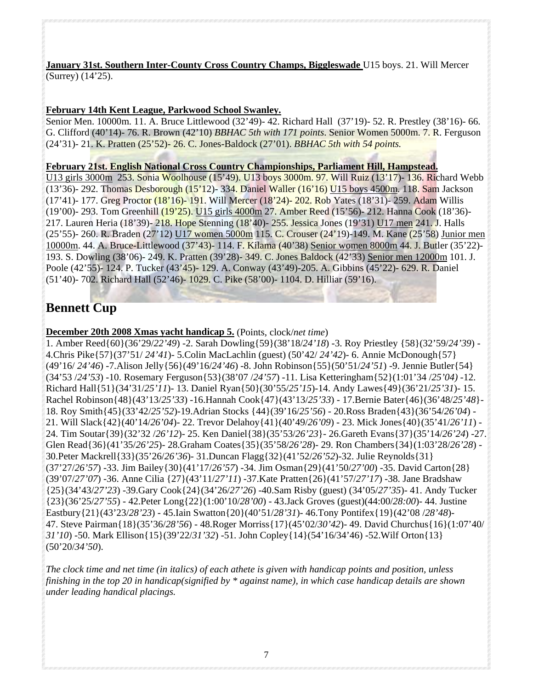**January 31st. Southern Inter-County Cross Country Champs, Biggleswade** U15 boys. 21. Will Mercer (Surrey) (14'25).

# **February 14th Kent League, Parkwood School Swanley.**

Senior Men. 10000m. 11. A. Bruce Littlewood (32'49)- 42. Richard Hall (37'19)- 52. R. Prestley (38'16)- 66. G. Clifford (40'14)- 76. R. Brown (42'10) *BBHAC 5th with 171 points*. Senior Women 5000m. 7. R. Ferguson (24'31)- 21. K. Pratten (25'52)- 26. C. Jones-Baldock (27'01). *BBHAC 5th with 54 points.*

#### **February 21st. English National Cross Country Championships, Parliament Hill, Hampstead.**

U13 girls 3000m 253. Sonia Woolhouse (15'49). U13 boys 3000m. 97. Will Ruiz (13'17)- 136. Richard Webb (13'36)- 292. Thomas Desborough (15'12)- 334. Daniel Waller (16'16) U15 boys 4500m. 118. Sam Jackson (17'41)- 177. Greg Proctor (18'16)- 191. Will Mercer (18'24)- 202. Rob Yates (18'31)- 259. Adam Willis (19'00)- 293. Tom Greenhill (19'25). U15 girls 4000m 27. Amber Reed (15'56)- 212. Hanna Cook (18'36)- 217. Lauren Heria (18'39)- 218. Hope Stenning (18'40)- 255. Jessica Jones (19'31) U17 men 241. J. Halls (25'55)- 260. R. Braden (27'12) U17 women 5000m 115. C. Crouser (24'19)-149. M. Kane (25'58) Junior men 10000m. 44. A. Bruce-Littlewood (37'43)- 114. F. Kilama (40'38) Senior women 8000m 44. J. Butler (35'22)- 193. S. Dowling (38'06)- 249. K. Pratten (39'28)- 349. C. Jones Baldock (42'33) Senior men 12000m 101. J. Poole (42'55)- 124. P. Tucker (43'45)- 129. A. Conway (43'49)-205. A. Gibbins (45'22)- 629. R. Daniel (51'40)- 702. Richard Hall (52'46)- 1029. C. Pike (58'00)- 1104. D. Hilliar (59'16).

# **Bennett Cup**

**December 20th 2008 Xmas yacht handicap 5.** (Points, clock/*net time*)

1. Amber Reed{60}(36'29/*22'49*) -2. Sarah Dowling{59}(38'18/*24'18*) -3. Roy Priestley {58}(32'59/*24'39*) - 4.Chris Pike{57}(37'51/ *24'41*)- 5.Colin MacLachlin (guest) (50'42/ *24'42*)- 6. Annie McDonough{57} (49'16/ *24'46*) -7.Alison Jelly{56}(49'16/*24'46*) -8. John Robinson{55}(50'51/*24'51*) -9. Jennie Butler{54} (34'53 /*24'53*) -10. Rosemary Ferguson{53}(38'07 /*24'57*) -11. Lisa Ketteringham{52}(1:01'34 /*25'04)* -12. Richard Hall{51}(34'31/*25'11*)- 13. Daniel Ryan{50}(30'55/*25'15*)-14. Andy Lawes{49}(36'21/*25'31*)- 15. Rachel Robinson{48}(43'13/*25'33*) -16.Hannah Cook{47}(43'13/*25'33*) - 17.Bernie Bater{46}(36'48/*25'48*}- 18. Roy Smith{45}(33'42/*25'52*)-19.Adrian Stocks {44}(39'16/*25'56*) - 20.Ross Braden{43}(36'54/*26'04*) - 21. Will Slack{42}(40'14/*26'04*)- 22. Trevor Delahoy{41}(40'49/*26'09*) - 23. Mick Jones{40}(35'41/*26'11*) - 24. Tim Soutar{39}(32'32 /*26'12*)- 25. Ken Daniel{38}(35'53/*26'23*}- 26.Gareth Evans{37}(35'14/*26'24*) -27. Glen Read{36}(41'35/*26'25*)- 28.Graham Coates{35}(35'58/*26'28*)- 29. Ron Chambers{34}(1:03'28/*26'28*) - 30.Peter Mackrell{33}(35'26/*26'36*)- 31.Duncan Flagg{32}(41'52/*26'52*)-32. Julie Reynolds{31} (37'27/*26'57*) -33. Jim Bailey{30}(41'17/*26'57*) -34. Jim Osman{29}(41'50/*27'00*) -35. David Carton{28} (39'07/*27'07*) -36. Anne Cilia {27}(43'11/*27'11*) -37.Kate Pratten{26}(41'57/*27'17*) -38. Jane Bradshaw {25}(34'43/*27'23*) -39.Gary Cook{24}(34'26/*27'26*) -40.Sam Risby (guest) (34'05/*27'35*)- 41. Andy Tucker {23}(36'25/*27'55*) - 42.Peter Long{22}(1:00'10/*28'00*) - 43.Jack Groves (guest)(44:00/*28:00*)- 44. Justine Eastbury{21}(43'23/*28'23*) - 45.Iain Swatton{20}(40'51/*28'31*)- 46.Tony Pontifex{19}(42'08 /*28'48*)- 47. Steve Pairman{18}(35'36/*28'56*) - 48.Roger Morriss{17}(45'02/*30'42*)- 49. David Churchus{16}(1:07'40/ *31'10*) -50. Mark Ellison{15}(39'22/*31'32*) -51. John Copley{14}(54'16/34'46) -52.Wilf Orton{13} (50'20/*34'50*).

*The clock time and net time (in italics) of each athete is given with handicap points and position, unless finishing in the top 20 in handicap(signified by \* against name), in which case handicap details are shown under leading handical placings.*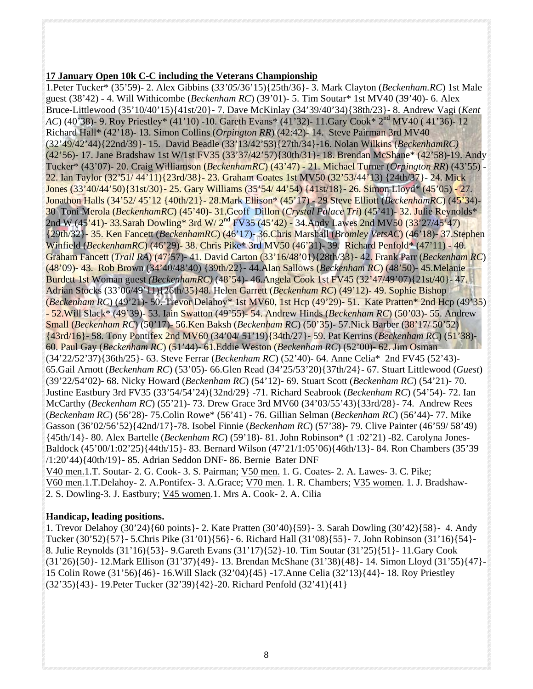#### **17 January Open 10k C-C including the Veterans Championship**

1.Peter Tucker\* (35'59)- 2. Alex Gibbins (*33'05*/36'15){25th/36}- 3. Mark Clayton (*Beckenham.RC*) 1st Male guest (38'42) - 4. Will Withicombe (*Beckenham RC*) (39'01)- 5. Tim Soutar\* 1st MV40 (39'40)- 6. Alex Bruce-Littlewood (35'10/40'15){41st/20}- 7. Dave McKinlay (34'39/40'34){38th/23}- 8. Andrew Vagi (*Kent AC*) (40'38)- 9. Roy Priestley\* (41'10) -10. Gareth Evans\* (41'32)- 11. Gary Cook\* 2<sup>nd</sup> MV40 (41'36)- 12 Richard Hall\* (42'18)- 13. Simon Collins (*Orpington RR*) (42:42)- 14. Steve Pairman 3rd MV40 (32'49/42'44){22nd/39}- 15. David Beadle (33'13/42'53){27th/34}-16. Nolan Wilkins (*BeckenhamRC)* (42'56)- 17. Jane Bradshaw 1st W/1st FV35 (33'37/42'57){30th/31}- 18. Brendan McShane\* (42'58)-19. Andy Tucker\* (43'07)- 20. Craig Williamson (*BeckenhamRC*) (43'47) - 21. Michael Turner (*Orpington RR*) (43'55) - 22. Ian Taylor (32'51/ 44'11){23rd/38}- 23. Graham Coates 1st MV50 (32'53/44'13) {24th/37}- 24. Mick Jones (33'40/44'50){31st/30}- 25. Gary Williams (35'54/ 44'54) {41st/18}- 26. Simon Lloyd\* (45'05) - 27. Jonathon Halls (34'52/ 45'12 {40th/21}- 28.Mark Ellison\* (45'17) - 29 Steve Elliott (*BeckenhamRC*) (45'34)- 30 Toni Merola (*BeckenhamRC*) (45'40)- 31.Geoff Dillon (*Crystal Palace Tri*) (45'41)- 32. Julie Reynolds\* 2nd W (45'41)- 33.Sarah Dowling\* 3rd W/ 2<sup>nd</sup> FV35 (45'42) - 34.Andy Lawes 2nd MV50 (33'27/45'47) {29th/32}- 35. Ken Fancett (*BeckenhamRC*) (46'17)- 36.Chris Marshall (*Bromley VetsAC*) (46'18)- 37.Stephen Winfield (*BeckenhamRC*) (46'29)- 38. Chris Pike\* 3rd MV50 (46'31)- 39. Richard Penfold\* (47'11) - 40. Graham Fancett (*Trail RA*) (47'57)- 41. David Carton (33'16/48'01){28th/33}- 42. Frank Parr (*Beckenham RC*) (48'09)- 43. Rob Brown (34'40/48'40) {39th/22}- 44.Alan Sallows (*Beckenham RC*) (48'50)- 45.Melanie Burdett 1st Woman guest *(BeckenhamRC)* (48'54)- 46.Angela Cook 1st FV45 (32'47/49'07){21st/40}- 47. Adrian Stocks (33'06/49'11){26th/35}48. Helen Garrett (*Beckenham RC*) (49'12)- 49. Sophie Bishop (*Beckenham RC*) (49'21)- 50. Trevor Delahoy\* 1st MV60, 1st Hcp (49'29)- 51. Kate Pratten\* 2nd Hcp (49'35) - 52.Will Slack\* (49'39)- 53. Iain Swatton (49'55)- 54. Andrew Hinds (*Beckenham RC*) (50'03)- 55. Andrew Small (*Beckenham RC*) (50'17)- 56.Ken Baksh (*Beckenham RC*) (50'35)- 57.Nick Barber (38'17/ 50'52) {43rd/16}- 58. Tony Pontifex 2nd MV60 (34'04/ 51'19){34th/27}- 59. Pat Kerrins (*Beckenham RC*) (51'38)- 60. Paul Gay (*Beckenham RC*) (51'44)- 61.Eddie Weston (*Beckenham RC*) (52'00)- 62. Jim Osman (34'22/52'37){36th/25}- 63. Steve Ferrar (*Beckenham RC*) (52'40)- 64. Anne Celia\* 2nd FV45 (52'43)- 65.Gail Arnott (*Beckenham RC*) (53'05)- 66.Glen Read (34'25/53'20){37th/24}- 67. Stuart Littlewood (*Guest*) (39'22/54'02)- 68. Nicky Howard (*Beckenham RC*) (54'12)- 69. Stuart Scott (*Beckenham RC*) (54'21)- 70. Justine Eastbury 3rd FV35 (33'54/54'24){32nd/29} -71. Richard Seabrook (*Beckenham RC*) (54'54)- 72. Ian McCarthy (*Beckenham RC*) (55'21)- 73. Drew Grace 3rd MV60 (34'03/55'43){33rd/28}- 74. Andrew Rees (*Beckenham RC*) (56'28)- 75.Colin Rowe\* (56'41) - 76. Gillian Selman (*Beckenham RC*) (56'44)- 77. Mike Gasson (36'02/56'52){42nd/17}-78. Isobel Finnie (*Beckenham RC*) (57'38)- 79. Clive Painter (46'59/ 58'49) {45th/14}- 80. Alex Bartelle (*Beckenham RC*) (59'18)- 81. John Robinson\* (1 :02'21) -82. Carolyna Jones-Baldock (45'00/1:02'25){44th/15}- 83. Bernard Wilson (47'21/1:05'06){46th/13}- 84. Ron Chambers (35'39 /1:20'44){40th/19}- 85. Adrian Seddon DNF- 86. Bernie Bater DNF V40 men.1.T. Soutar- 2. G. Cook- 3. S. Pairman; V50 men. 1. G. Coates- 2. A. Lawes- 3. C. Pike; V60 men.1.T.Delahoy- 2. A.Pontifex- 3. A.Grace; V70 men. 1. R. Chambers; V35 women. 1. J. Bradshaw-

2. S. Dowling-3. J. Eastbury; V45 women.1. Mrs A. Cook- 2. A. Cilia

# **Handicap, leading positions.**

1. Trevor Delahoy (30'24){60 points}- 2. Kate Pratten (30'40){59}- 3. Sarah Dowling (30'42){58}- 4. Andy Tucker (30'52){57}- 5.Chris Pike (31'01){56}- 6. Richard Hall (31'08){55}- 7. John Robinson (31'16){54}- 8. Julie Reynolds (31'16){53}- 9.Gareth Evans (31'17){52}-10. Tim Soutar (31'25){51}- 11.Gary Cook (31'26){50}- 12.Mark Ellison (31'37){49}- 13. Brendan McShane (31'38){48}- 14. Simon Lloyd (31'55){47}- 15 Colin Rowe (31'56){46}- 16.Will Slack (32'04){45} -17.Anne Celia (32'13){44}- 18. Roy Priestley (32'35){43}- 19.Peter Tucker (32'39){42}-20. Richard Penfold (32'41){41}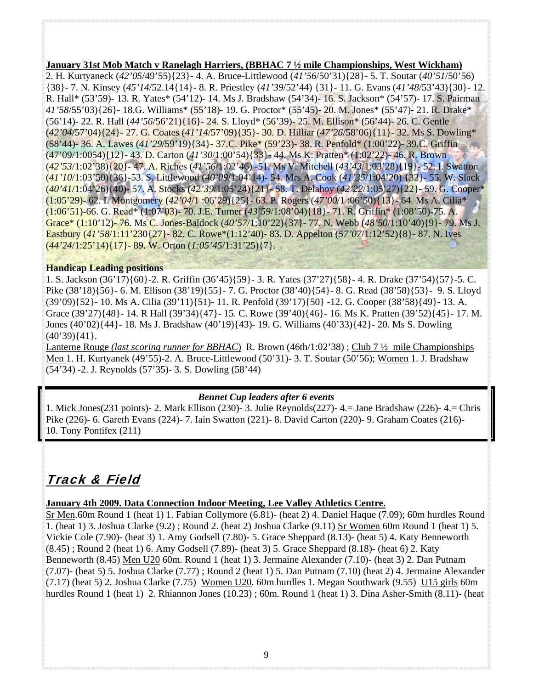#### **January 31st Mob Match v Ranelagh Harriers, (BBHAC 7 ½ mile Championships, West Wickham)**

2. H. Kurtyaneck (*42'05*/49'55){23}- 4. A. Bruce-Littlewood (*41'56*/50'31){28}- 5. T. Soutar (*40'51*/50'56) {38}- 7. N. Kinsey (*45'14*/52.14{14}- 8. R. Priestley (*41'39*/52'44) {31}- 11. G. Evans (*41'48*/53'43){30}- 12. R. Hall\* (53'59)- 13. R. Yates\* (54'12)- 14. Ms J. Bradshaw (54'34)- 16. S. Jackson\* (54'57)- 17. S. Pairman *41'58*/55'03){26}- 18.G. Williams\* (55'18)- 19. G. Proctor\* (55'45)- 20. M. Jones\* (55'47)- 21. R. Drake\* (56'14)- 22. R. Hall (*44'56*/56'21){16}- 24. S. Lloyd\* (56'39)- 25. M. Ellison\* (56'44)- 26. C. Gentle (*42'04*/57'04){24}- 27. G. Coates (*41'14*/57'09){35}- 30. D. Hilliar (*47'26*/58'06){11}- 32. Ms S. Dowling\* (58'44)- 36. A. Lawes (*41'29*/59'19){34}- 37.C. Pike\* (59'23)- 38. R. Penfold\* (1:00'22)- 39.C. Griffin (47'09/1:0054){12}- 43. D. Carton (*41'30*/1:00'54){33}- 44. Ms K. Pratten\* (1:02'22)- 46. R. Brown (*42'53*/1:02'38){20}- 47. A. Riches (*41'56*/1:02'46) -51. Ms V. Mitchell (*43'43*/1:03'28){19}- 52. I. Swatton (*41'10*/1:03'50){36}-53. S. Littlewood (*40'09*/1:04'14)- 54. Mrs A. Cook (*41'35*/1:04'20) {32}- 55. W. Slack (*40'41*/1:04'26){40)- 57. A. Stocks (*42'39*/1:05'24){21}- 58. T. Delahoy (*42'22*/1:05'27){22}- 59. G. Cooper\* (1:05'29)- 62. I. Montgomery (*42'04*/1 :06'29){25}- 63. P. Rogers (*47'00*/1 :06'50){13}- 64. Ms A. Cilia\* (1:06'51)-66. G. Read\* (1:07'03)- 70. J.E. Turner (*43'59*/1:08'04){18}- 71. R. Griffin\* (1:08'50)-75. A. Grace\* (1:10'12)- 76. Ms C. Jones-Baldock (*40'57*/1:10'22){37}- 77. N. Webb (*48'50*/1:10'40){9}- 79. Ms J. Eastbury (*41'58*/1:11'230{27}- 82. C. Rowe\*(1:12'40)- 83. D. Appelton (*57'07*/1:12'52){8}- 87. N. Ives (*44'24*/1:25'14){17}- 89. W. Orton (*1:05'45*/1:31'25){7}.

#### **Handicap Leading positions**

1. S. Jackson (36'17){60}-2. R. Griffin (36'45){59}- 3. R. Yates (37'27){58}- 4. R. Drake (37'54){57}-5. C. Pike (38'18){56}- 6. M. Ellison (38'19){55}- 7. G. Proctor (38'40){54}- 8. G. Read (38'58){53}- 9. S. Lloyd (39'09){52}- 10. Ms A. Cilia (39'11){51)- 11. R. Penfold (39'17){50} -12. G. Cooper (38'58){49}- 13. A. Grace (39'27){48}- 14. R Hall (39'34){47}- 15. C. Rowe (39'40){46}- 16. Ms K. Pratten (39'52){45}- 17. M. Jones (40'02){44}- 18. Ms J. Bradshaw (40'19){43)- 19. G. Williams (40'33){42}- 20. Ms S. Dowling (40'39){41}.

Lanterne Rouge *(last scoring runner for BBHAC*) R. Brown (46th/1:02'38) ; Club 7 ½ mile Championships Men 1. H. Kurtyanek (49'55)-2. A. Bruce-Littlewood (50'31)- 3. T. Soutar (50'56); Women 1. J. Bradshaw (54'34) -2. J. Reynolds (57'35)- 3. S. Dowling (58'44)

#### *Bennet Cup leaders after 6 events*

1. Mick Jones(231 points)- 2. Mark Ellison (230)- 3. Julie Reynolds(227)- 4.= Jane Bradshaw (226)- 4.= Chris Pike (226)- 6. Gareth Evans (224)- 7. Iain Swatton (221)- 8. David Carton (220)- 9. Graham Coates (216)- 10. Tony Pontifex (211)

# Track & Field

# **January 4th 2009. Data Connection Indoor Meeting, Lee Valley Athletics Centre.**

Sr Men.60m Round 1 (heat 1) 1. Fabian Collymore (6.81)- (heat 2) 4. Daniel Haque (7.09); 60m hurdles Round 1. (heat 1) 3. Joshua Clarke (9.2) ; Round 2. (heat 2) Joshua Clarke (9.11) Sr Women 60m Round 1 (heat 1) 5. Vickie Cole (7.90)- (heat 3) 1. Amy Godsell (7.80)- 5. Grace Sheppard (8.13)- (heat 5) 4. Katy Benneworth (8.45) ; Round 2 (heat 1) 6. Amy Godsell (7.89)- (heat 3) 5. Grace Sheppard (8.18)- (heat 6) 2. Katy Benneworth (8.45) Men U20 60m. Round 1 (heat 1) 3. Jermaine Alexander (7.10)- (heat 3) 2. Dan Putnam (7.07)- (heat 5) 5. Joshua Clarke (7.77) ; Round 2 (heat 1) 5. Dan Putnam (7.10) (heat 2) 4. Jermaine Alexander (7.17) (heat 5) 2. Joshua Clarke (7.75) Women U20. 60m hurdles 1. Megan Southwark (9.55) U15 girls 60m hurdles Round 1 (heat 1) 2. Rhiannon Jones (10.23) ; 60m. Round 1 (heat 1) 3. Dina Asher-Smith (8.11)- (heat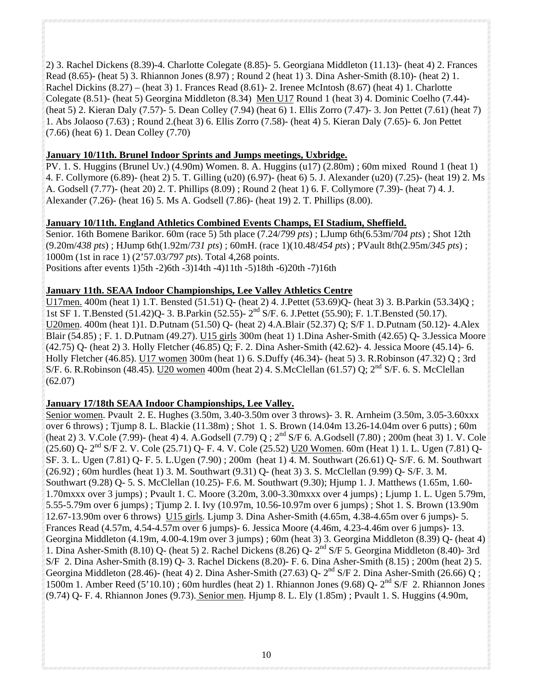2) 3. Rachel Dickens (8.39)-4. Charlotte Colegate (8.85)- 5. Georgiana Middleton (11.13)- (heat 4) 2. Frances Read (8.65)- (heat 5) 3. Rhiannon Jones (8.97) ; Round 2 (heat 1) 3. Dina Asher-Smith (8.10)- (heat 2) 1. Rachel Dickins (8.27) – (heat 3) 1. Frances Read (8.61)- 2. Irenee McIntosh (8.67) (heat 4) 1. Charlotte Colegate (8.51)- (heat 5) Georgina Middleton (8.34) Men U17 Round 1 (heat 3) 4. Dominic Coelho (7.44)- (heat 5) 2. Kieran Daly (7.57)- 5. Dean Colley (7.94) (heat 6) 1. Ellis Zorro (7.47)- 3. Jon Pettet (7.61) (heat 7) 1. Abs Jolaoso (7.63) ; Round 2.(heat 3) 6. Ellis Zorro (7.58)- (heat 4) 5. Kieran Daly (7.65)- 6. Jon Pettet (7.66) (heat 6) 1. Dean Colley (7.70)

#### **January 10/11th. Brunel Indoor Sprints and Jumps meetings, Uxbridge.**

PV. 1. S. Huggins (Brunel Uv.) (4.90m) Women. 8. A. Huggins (u17) (2.80m) ; 60m mixed Round 1 (heat 1) 4. F. Collymore (6.89)- (heat 2) 5. T. Gilling (u20) (6.97)- (heat 6) 5. J. Alexander (u20) (7.25)- (heat 19) 2. Ms A. Godsell (7.77)- (heat 20) 2. T. Phillips (8.09) ; Round 2 (heat 1) 6. F. Collymore (7.39)- (heat 7) 4. J. Alexander (7.26)- (heat 16) 5. Ms A. Godsell (7.86)- (heat 19) 2. T. Phillips (8.00).

#### **January 10/11th. England Athletics Combined Events Champs, EI Stadium, Sheffield.**

Senior. 16th Bomene Barikor. 60m (race 5) 5th place (7.24/*799 pts*) ; LJump 6th(6.53m/*704 pts*) ; Shot 12th (9.20m/*438 pts*) ; HJump 6th(1.92m/*731 pts*) ; 60mH. (race 1)(10.48/*454 pts*) ; PVault 8th(2.95m/*345 pts*) ; 1000m (1st in race 1) (2'57.03/*797 pts*). Total 4,268 points. Positions after events 1)5th -2)6th -3)14th -4)11th -5)18th -6)20th -7)16th

#### **January 11th. SEAA Indoor Championships, Lee Valley Athletics Centre**

U17men. 400m (heat 1) 1.T. Bensted (51.51) Q- (heat 2) 4. J.Pettet (53.69)Q- (heat 3) 3. B.Parkin (53.34)Q ; 1st SF 1. T.Bensted (51.42)Q- 3. B.Parkin (52.55)- 2nd S/F. 6. J.Pettet (55.90); F. 1.T.Bensted (50.17). U20men. 400m (heat 1)1. D.Putnam (51.50) Q- (heat 2) 4.A.Blair (52.37) Q; S/F 1. D.Putnam (50.12)- 4.Alex Blair (54.85) ; F. 1. D.Putnam (49.27). U15 girls 300m (heat 1) 1.Dina Asher-Smith (42.65) Q- 3.Jessica Moore (42.75) Q- (heat 2) 3. Holly Fletcher (46.85) Q; F. 2. Dina Asher-Smith (42.62)- 4. Jessica Moore (45.14)- 6. Holly Fletcher (46.85). U17 women 300m (heat 1) 6. S.Duffy (46.34)- (heat 5) 3. R.Robinson (47.32) Q ; 3rd S/F. 6. R.Robinson (48.45). U20 women 400m (heat 2) 4. S.McClellan (61.57) Q;  $2<sup>nd</sup>$  S/F. 6. S. McClellan (62.07)

# **January 17/18th SEAA Indoor Championships, Lee Valley.**

Senior women. Pvault 2. E. Hughes (3.50m, 3.40-3.50m over 3 throws)- 3. R. Arnheim (3.50m, 3.05-3.60xxx over 6 throws) ; Tjump 8. L. Blackie (11.38m) ; Shot 1. S. Brown (14.04m 13.26-14.04m over 6 putts) ; 60m (heat 2) 3. V.Cole (7.99)- (heat 4) 4. A.Godsell (7.79) Q ; 2nd S/F 6. A.Godsell (7.80) ; 200m (heat 3) 1. V. Cole (25.60) Q- 2nd S/F 2. V. Cole (25.71) Q- F. 4. V. Cole (25.52) U20 Women. 60m (Heat 1) 1. L. Ugen (7.81) Q-SF. 3. L. Ugen (7.81) Q- F. 5. L.Ugen (7.90) ; 200m (heat 1) 4. M. Southwart (26.61) Q- S/F. 6. M. Southwart (26.92) ; 60m hurdles (heat 1) 3. M. Southwart (9.31) Q- (heat 3) 3. S. McClellan (9.99) Q- S/F. 3. M. Southwart (9.28) Q- 5. S. McClellan (10.25)- F.6. M. Southwart (9.30); Hjump 1. J. Matthews (1.65m, 1.60- 1.70mxxx over 3 jumps) ; Pvault 1. C. Moore (3.20m, 3.00-3.30mxxx over 4 jumps) ; Ljump 1. L. Ugen 5.79m, 5.55-5.79m over 6 jumps) ; Tjump 2. I. Ivy (10.97m, 10.56-10.97m over 6 jumps) ; Shot 1. S. Brown (13.90m 12.67-13.90m over 6 throws) U15 girls. Ljump 3. Dina Asher-Smith (4.65m, 4.38-4.65m over 6 jumps)- 5. Frances Read (4.57m, 4.54-4.57m over 6 jumps)- 6. Jessica Moore (4.46m, 4.23-4.46m over 6 jumps)- 13. Georgina Middleton (4.19m, 4.00-4.19m over 3 jumps) ; 60m (heat 3) 3. Georgina Middleton (8.39) Q- (heat 4) 1. Dina Asher-Smith (8.10) Q- (heat 5) 2. Rachel Dickens (8.26) Q- 2nd S/F 5. Georgina Middleton (8.40)- 3rd S/F 2. Dina Asher-Smith (8.19) Q- 3. Rachel Dickens (8.20)- F. 6. Dina Asher-Smith (8.15) ; 200m (heat 2) 5. Georgina Middleton (28.46)- (heat 4) 2. Dina Asher-Smith (27.63) Q-  $2<sup>nd</sup> S/F 2$ . Dina Asher-Smith (26.66) Q; 1500m 1. Amber Reed (5'10.10); 60m hurdles (heat 2) 1. Rhiannon Jones (9.68) Q-  $2<sup>nd</sup> S/F$  2. Rhiannon Jones (9.74) Q- F. 4. Rhiannon Jones (9.73). Senior men. Hjump 8. L. Ely (1.85m) ; Pvault 1. S. Huggins (4.90m,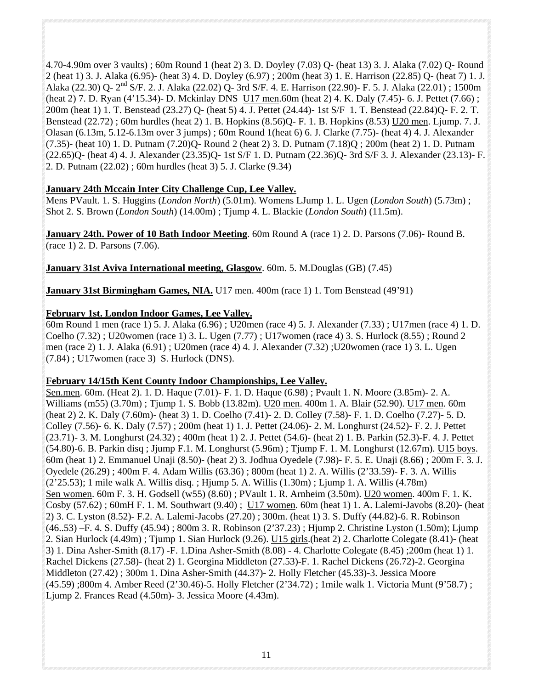4.70-4.90m over 3 vaults) ; 60m Round 1 (heat 2) 3. D. Doyley (7.03) Q- (heat 13) 3. J. Alaka (7.02) Q- Round 2 (heat 1) 3. J. Alaka (6.95)- (heat 3) 4. D. Doyley (6.97) ; 200m (heat 3) 1. E. Harrison (22.85) Q- (heat 7) 1. J. Alaka (22.30) Q- 2nd S/F. 2. J. Alaka (22.02) Q- 3rd S/F. 4. E. Harrison (22.90)- F. 5. J. Alaka (22.01) ; 1500m (heat 2) 7. D. Ryan (4'15.34)- D. Mckinlay DNS U<sub>17</sub> men. 60m (heat 2) 4. K. Daly (7.45)- 6. J. Pettet (7.66) ; 200m (heat 1) 1. T. Benstead (23.27) Q- (heat 5) 4. J. Pettet (24.44)- 1st S/F 1. T. Benstead (22.84)Q- F. 2. T. Benstead (22.72) ; 60m hurdles (heat 2) 1. B. Hopkins (8.56)Q- F. 1. B. Hopkins (8.53) U20 men. Ljump. 7. J. Olasan (6.13m, 5.12-6.13m over 3 jumps) ; 60m Round 1(heat 6) 6. J. Clarke (7.75)- (heat 4) 4. J. Alexander (7.35)- (heat 10) 1. D. Putnam (7.20)Q- Round 2 (heat 2) 3. D. Putnam (7.18)Q ; 200m (heat 2) 1. D. Putnam (22.65)Q- (heat 4) 4. J. Alexander (23.35)Q- 1st S/F 1. D. Putnam (22.36)Q- 3rd S/F 3. J. Alexander (23.13)- F. 2. D. Putnam (22.02) ; 60m hurdles (heat 3) 5. J. Clarke (9.34)

# **January 24th Mccain Inter City Challenge Cup, Lee Valley.**

Mens PVault. 1. S. Huggins (*London North*) (5.01m). Womens LJump 1. L. Ugen (*London South*) (5.73m) ; Shot 2. S. Brown (*London South*) (14.00m) ; Tjump 4. L. Blackie (*London South*) (11.5m).

**January 24th. Power of 10 Bath Indoor Meeting**. 60m Round A (race 1) 2. D. Parsons (7.06)- Round B. (race 1) 2. D. Parsons (7.06).

**January 31st Aviva International meeting, Glasgow**. 60m. 5. M.Douglas (GB) (7.45)

**January 31st Birmingham Games, NIA.** U17 men. 400m (race 1) 1. Tom Benstead (49'91)

# **February 1st. London Indoor Games, Lee Valley.**

60m Round 1 men (race 1) 5. J. Alaka (6.96) ; U20men (race 4) 5. J. Alexander (7.33) ; U17men (race 4) 1. D. Coelho (7.32) ; U20women (race 1) 3. L. Ugen (7.77) ; U17women (race 4) 3. S. Hurlock (8.55) ; Round 2 men (race 2) 1. J. Alaka (6.91) ; U20men (race 4) 4. J. Alexander (7.32) ;U20women (race 1) 3. L. Ugen (7.84) ; U17women (race 3) S. Hurlock (DNS).

# **February 14/15th Kent County Indoor Championships, Lee Valley.**

Sen.men. 60m. (Heat 2). 1. D. Haque (7.01)- F. 1. D. Haque (6.98) ; Pvault 1. N. Moore (3.85m)- 2. A. Williams (m55) (3.70m) ; Tjump 1. S. Bobb (13.82m). U20 men. 400m 1. A. Blair (52.90). U17 men. 60m (heat 2) 2. K. Daly (7.60m)- (heat 3) 1. D. Coelho (7.41)- 2. D. Colley (7.58)- F. 1. D. Coelho (7.27)- 5. D. Colley (7.56)- 6. K. Daly (7.57) ; 200m (heat 1) 1. J. Pettet (24.06)- 2. M. Longhurst (24.52)- F. 2. J. Pettet (23.71)- 3. M. Longhurst (24.32) ; 400m (heat 1) 2. J. Pettet (54.6)- (heat 2) 1. B. Parkin (52.3)-F. 4. J. Pettet (54.80)-6. B. Parkin disq ; Jjump F.1. M. Longhurst (5.96m) ; Tjump F. 1. M. Longhurst (12.67m). U15 boys. 60m (heat 1) 2. Emmanuel Unaji (8.50)- (heat 2) 3. Jodhua Oyedele (7.98)- F. 5. E. Unaji (8.66) ; 200m F. 3. J. Oyedele (26.29) ; 400m F. 4. Adam Willis (63.36) ; 800m (heat 1) 2. A. Willis (2'33.59)- F. 3. A. Willis (2'25.53); 1 mile walk A. Willis disq. ; Hjump 5. A. Willis (1.30m) ; Ljump 1. A. Willis (4.78m) Sen women. 60m F. 3. H. Godsell (w55) (8.60) ; PVault 1. R. Arnheim (3.50m). U20 women. 400m F. 1. K. Cosby (57.62) ; 60mH F. 1. M. Southwart (9.40) ; U17 women. 60m (heat 1) 1. A. Lalemi-Javobs (8.20)- (heat 2) 3. C. Lyston (8.52)- F.2. A. Lalemi-Jacobs (27.20) ; 300m. (heat 1) 3. S. Duffy (44.82)-6. R. Robinson (46..53) –F. 4. S. Duffy (45.94) ; 800m 3. R. Robinson (2'37.23) ; Hjump 2. Christine Lyston (1.50m); Ljump 2. Sian Hurlock (4.49m) ; Tjump 1. Sian Hurlock (9.26). U15 girls.(heat 2) 2. Charlotte Colegate (8.41)- (heat 3) 1. Dina Asher-Smith (8.17) -F. 1.Dina Asher-Smith (8.08) - 4. Charlotte Colegate (8.45) ;200m (heat 1) 1. Rachel Dickens (27.58)- (heat 2) 1. Georgina Middleton (27.53)-F. 1. Rachel Dickens (26.72)-2. Georgina Middleton (27.42) ; 300m 1. Dina Asher-Smith (44.37)- 2. Holly Fletcher (45.33)-3. Jessica Moore (45.59) ;800m 4. Amber Reed (2'30.46)-5. Holly Fletcher (2'34.72) ; 1mile walk 1. Victoria Munt (9'58.7) ; Ljump 2. Frances Read (4.50m)- 3. Jessica Moore (4.43m).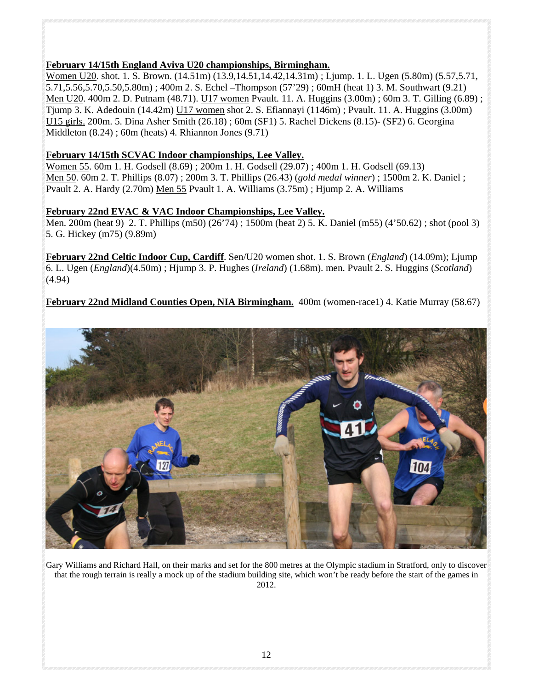# **February 14/15th England Aviva U20 championships, Birmingham.**

Women U20. shot. 1. S. Brown. (14.51m) (13.9,14.51,14.42,14.31m); Ljump. 1. L. Ugen (5.80m) (5.57,5.71, 5.71,5.56,5.70,5.50,5.80m) ; 400m 2. S. Echel –Thompson (57'29) ; 60mH (heat 1) 3. M. Southwart (9.21) Men U20. 400m 2. D. Putnam (48.71). U17 women Pvault. 11. A. Huggins (3.00m) ; 60m 3. T. Gilling (6.89) ; Tjump 3. K. Adedouin (14.42m) U17 women shot 2. S. Efiannayi (1146m) ; Pvault. 11. A. Huggins (3.00m) U15 girls. 200m. 5. Dina Asher Smith (26.18) ; 60m (SF1) 5. Rachel Dickens (8.15)- (SF2) 6. Georgina Middleton (8.24) ; 60m (heats) 4. Rhiannon Jones (9.71)

# **February 14/15th SCVAC Indoor championships, Lee Valley.**

Women 55. 60m 1. H. Godsell (8.69) ; 200m 1. H. Godsell (29.07) ; 400m 1. H. Godsell (69.13) Men 50. 60m 2. T. Phillips (8.07) ; 200m 3. T. Phillips (26.43) (*gold medal winner*) ; 1500m 2. K. Daniel ; Pvault 2. A. Hardy (2.70m) Men 55 Pvault 1. A. Williams (3.75m) ; Hjump 2. A. Williams

# **February 22nd EVAC & VAC Indoor Championships, Lee Valley.**

Men. 200m (heat 9) 2. T. Phillips (m50) (26'74) ; 1500m (heat 2) 5. K. Daniel (m55) (4'50.62) ; shot (pool 3) 5. G. Hickey (m75) (9.89m)

**February 22nd Celtic Indoor Cup, Cardiff**. Sen/U20 women shot. 1. S. Brown (*England*) (14.09m); Ljump 6. L. Ugen (*England*)(4.50m) ; Hjump 3. P. Hughes (*Ireland*) (1.68m). men. Pvault 2. S. Huggins (*Scotland*) (4.94)

**February 22nd Midland Counties Open, NIA Birmingham.** 400m (women-race1) 4. Katie Murray (58.67)



Gary Williams and Richard Hall, on their marks and set for the 800 metres at the Olympic stadium in Stratford, only to discover that the rough terrain is really a mock up of the stadium building site, which won't be ready before the start of the games in 2012.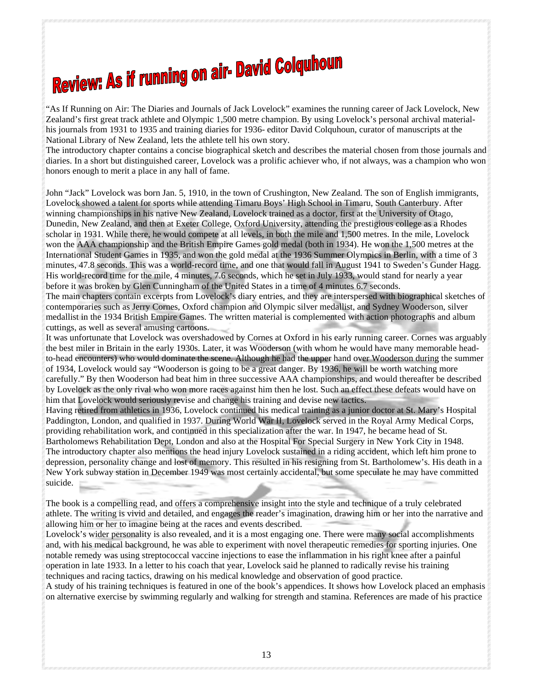# **Review: As if running on air- David Colquhoun**

"As If Running on Air: The Diaries and Journals of Jack Lovelock" examines the running career of Jack Lovelock, New Zealand's first great track athlete and Olympic 1,500 metre champion. By using Lovelock's personal archival materialhis journals from 1931 to 1935 and training diaries for 1936- editor David Colquhoun, curator of manuscripts at the National Library of New Zealand, lets the athlete tell his own story.

The introductory chapter contains a concise biographical sketch and describes the material chosen from those journals and diaries. In a short but distinguished career, Lovelock was a prolific achiever who, if not always, was a champion who won honors enough to merit a place in any hall of fame.

John "Jack" Lovelock was born Jan. 5, 1910, in the town of Crushington, New Zealand. The son of English immigrants, Lovelock showed a talent for sports while attending Timaru Boys' High School in Timaru, South Canterbury. After winning championships in his native New Zealand, Lovelock trained as a doctor, first at the University of Otago, Dunedin, New Zealand, and then at Exeter College, Oxford University, attending the prestigious college as a Rhodes scholar in 1931. While there, he would compete at all levels, in both the mile and 1,500 metres. In the mile, Lovelock won the AAA championship and the British Empire Games gold medal (both in 1934). He won the 1,500 metres at the International Student Games in 1935, and won the gold medal at the 1936 Summer Olympics in Berlin, with a time of 3 minutes, 47.8 seconds. This was a world-record time, and one that would fall in August 1941 to Sweden's Gunder Hagg. His world-record time for the mile, 4 minutes, 7.6 seconds, which he set in July 1933, would stand for nearly a year before it was broken by Glen Cunningham of the United States in a time of 4 minutes 6.7 seconds.

The main chapters contain excerpts from Lovelock's diary entries, and they are interspersed with biographical sketches of contemporaries such as Jerry Cornes, Oxford champion and Olympic silver medallist, and Sydney Wooderson, silver medallist in the 1934 British Empire Games. The written material is complemented with action photographs and album cuttings, as well as several amusing cartoons.

It was unfortunate that Lovelock was overshadowed by Cornes at Oxford in his early running career. Cornes was arguably the best miler in Britain in the early 1930s. Later, it was Wooderson (with whom he would have many memorable headto-head encounters) who would dominate the scene. Although he had the upper hand over Wooderson during the summer of 1934, Lovelock would say "Wooderson is going to be a great danger. By 1936, he will be worth watching more carefully." By then Wooderson had beat him in three successive AAA championships, and would thereafter be described by Lovelock as the only rival who won more races against him then he lost. Such an effect these defeats would have on him that Lovelock would seriously revise and change his training and devise new tactics.

Having retired from athletics in 1936, Lovelock continued his medical training as a junior doctor at St. Mary's Hospital Paddington, London, and qualified in 1937. During World War II, Lovelock served in the Royal Army Medical Corps, providing rehabilitation work, and continued in this specialization after the war. In 1947, he became head of St. Bartholomews Rehabilitation Dept, London and also at the Hospital For Special Surgery in New York City in 1948. The introductory chapter also mentions the head injury Lovelock sustained in a riding accident, which left him prone to depression, personality change and lost of memory. This resulted in his resigning from St. Bartholomew's. His death in a New York subway station in December 1949 was most certainly accidental, but some speculate he may have committed suicide.

The book is a compelling read, and offers a comprehensive insight into the style and technique of a truly celebrated athlete. The writing is vivid and detailed, and engages the reader's imagination, drawing him or her into the narrative and allowing him or her to imagine being at the races and events described.

Lovelock's wider personality is also revealed, and it is a most engaging one. There were many social accomplishments and, with his medical background, he was able to experiment with novel therapeutic remedies for sporting injuries. One notable remedy was using streptococcal vaccine injections to ease the inflammation in his right knee after a painful operation in late 1933. In a letter to his coach that year, Lovelock said he planned to radically revise his training techniques and racing tactics, drawing on his medical knowledge and observation of good practice.

A study of his training techniques is featured in one of the book's appendices. It shows how Lovelock placed an emphasis on alternative exercise by swimming regularly and walking for strength and stamina. References are made of his practice